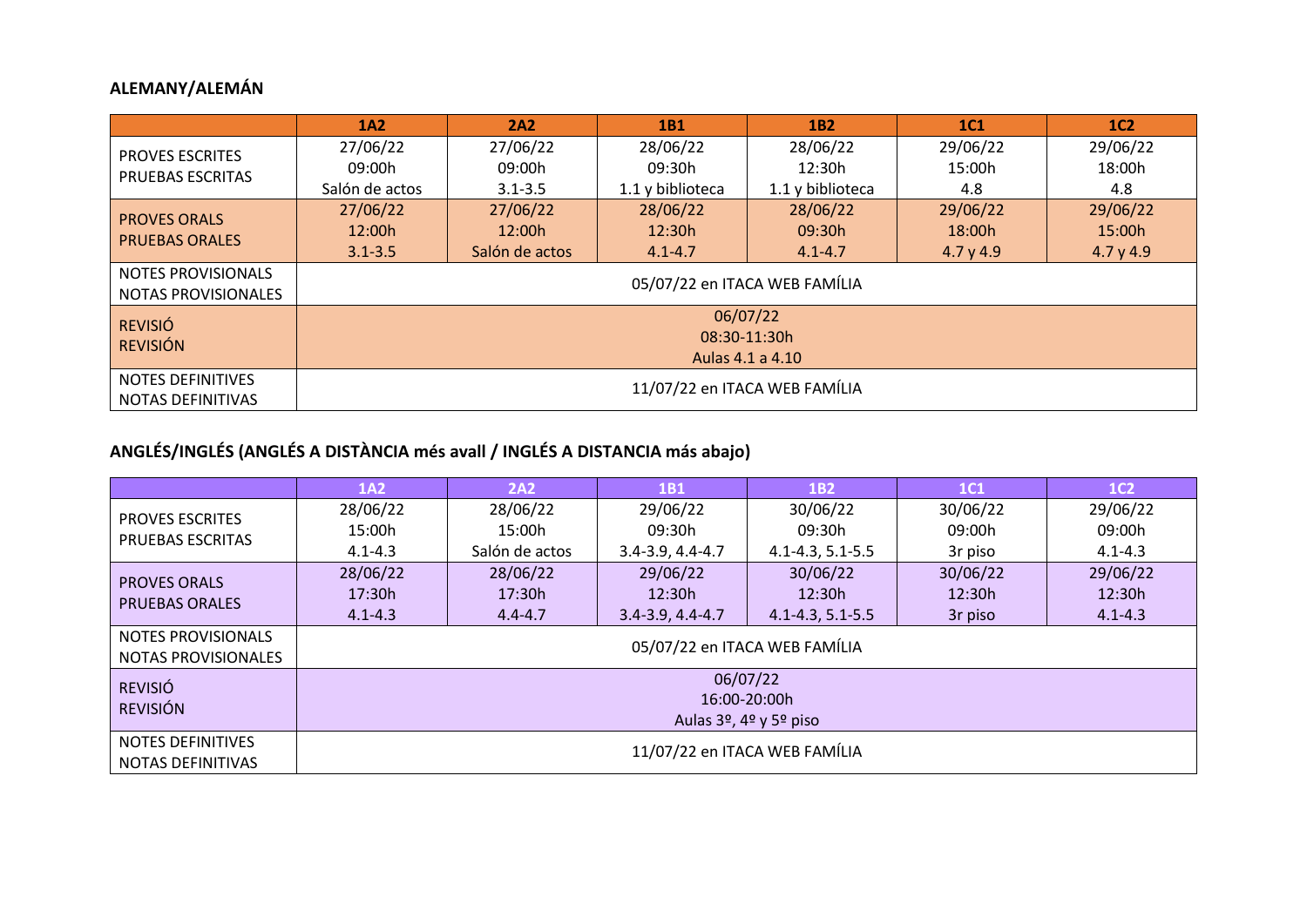## **ALEMANY/ALEMÁN**

|                                               | 1A2                           | 2A2            | 1B1              | 1 <sub>B2</sub>               | <b>1C1</b> | 1C <sub>2</sub> |
|-----------------------------------------------|-------------------------------|----------------|------------------|-------------------------------|------------|-----------------|
| <b>PROVES ESCRITES</b>                        | 27/06/22                      | 27/06/22       | 28/06/22         | 28/06/22                      | 29/06/22   | 29/06/22        |
| PRUEBAS ESCRITAS                              | 09:00h                        | 09:00h         | 09:30h           | 12:30h                        | 15:00h     | 18:00h          |
|                                               | Salón de actos                | $3.1 - 3.5$    | 1.1 y biblioteca | 1.1 y biblioteca              | 4.8        | 4.8             |
| <b>PROVES ORALS</b>                           | 27/06/22                      | 27/06/22       | 28/06/22         | 28/06/22                      | 29/06/22   | 29/06/22        |
| <b>PRUEBAS ORALES</b>                         | 12:00h                        | 12:00h         | 12:30h           | 09:30h                        | 18:00h     | 15:00h          |
|                                               | $3.1 - 3.5$                   | Salón de actos | $4.1 - 4.7$      | $4.1 - 4.7$                   | 4.7 y 4.9  | 4.7 y 4.9       |
| NOTES PROVISIONALS                            |                               |                |                  | 05/07/22 en ITACA WEB FAMÍLIA |            |                 |
| <b>NOTAS PROVISIONALES</b>                    |                               |                |                  |                               |            |                 |
| <b>REVISIÓ</b>                                |                               |                | 06/07/22         |                               |            |                 |
| <b>REVISIÓN</b>                               |                               |                |                  | 08:30-11:30h                  |            |                 |
|                                               | Aulas 4.1 a 4.10              |                |                  |                               |            |                 |
| <b>NOTES DEFINITIVES</b><br>NOTAS DEFINITIVAS | 11/07/22 en ITACA WEB FAMÍLIA |                |                  |                               |            |                 |

# **ANGLÉS/INGLÉS (ANGLÉS A DISTÀNCIA més avall / INGLÉS A DISTANCIA más abajo)**

|                            | 1A2                           | <b>2A2</b>     | 1 <sub>B1</sub>        | 1B2                           | 1C1      | 1C <sub>2</sub> |
|----------------------------|-------------------------------|----------------|------------------------|-------------------------------|----------|-----------------|
| <b>PROVES ESCRITES</b>     | 28/06/22                      | 28/06/22       | 29/06/22               | 30/06/22                      | 30/06/22 | 29/06/22        |
| <b>PRUEBAS ESCRITAS</b>    | 15:00h                        | 15:00h         | 09:30h                 | 09:30h                        | 09:00h   | 09:00h          |
|                            | $4.1 - 4.3$                   | Salón de actos | $3.4 - 3.9, 4.4 - 4.7$ | $4.1 - 4.3, 5.1 - 5.5$        | 3r piso  | $4.1 - 4.3$     |
| <b>PROVES ORALS</b>        | 28/06/22                      | 28/06/22       | 29/06/22               | 30/06/22                      | 30/06/22 | 29/06/22        |
| <b>PRUEBAS ORALES</b>      | 17:30h                        | 17:30h         | 12:30h                 | 12:30h                        | 12:30h   | 12:30h          |
|                            | $4.1 - 4.3$                   | $4.4 - 4.7$    | $3.4 - 3.9, 4.4 - 4.7$ | $4.1 - 4.3, 5.1 - 5.5$        | 3r piso  | $4.1 - 4.3$     |
| NOTES PROVISIONALS         |                               |                |                        | 05/07/22 en ITACA WEB FAMÍLIA |          |                 |
| <b>NOTAS PROVISIONALES</b> |                               |                |                        |                               |          |                 |
| <b>REVISIÓ</b>             |                               |                |                        | 06/07/22                      |          |                 |
| <b>REVISIÓN</b>            |                               |                |                        | 16:00-20:00h                  |          |                 |
|                            | Aulas 3º, 4º y 5º piso        |                |                        |                               |          |                 |
| <b>NOTES DEFINITIVES</b>   | 11/07/22 en ITACA WEB FAMÍLIA |                |                        |                               |          |                 |
| NOTAS DEFINITIVAS          |                               |                |                        |                               |          |                 |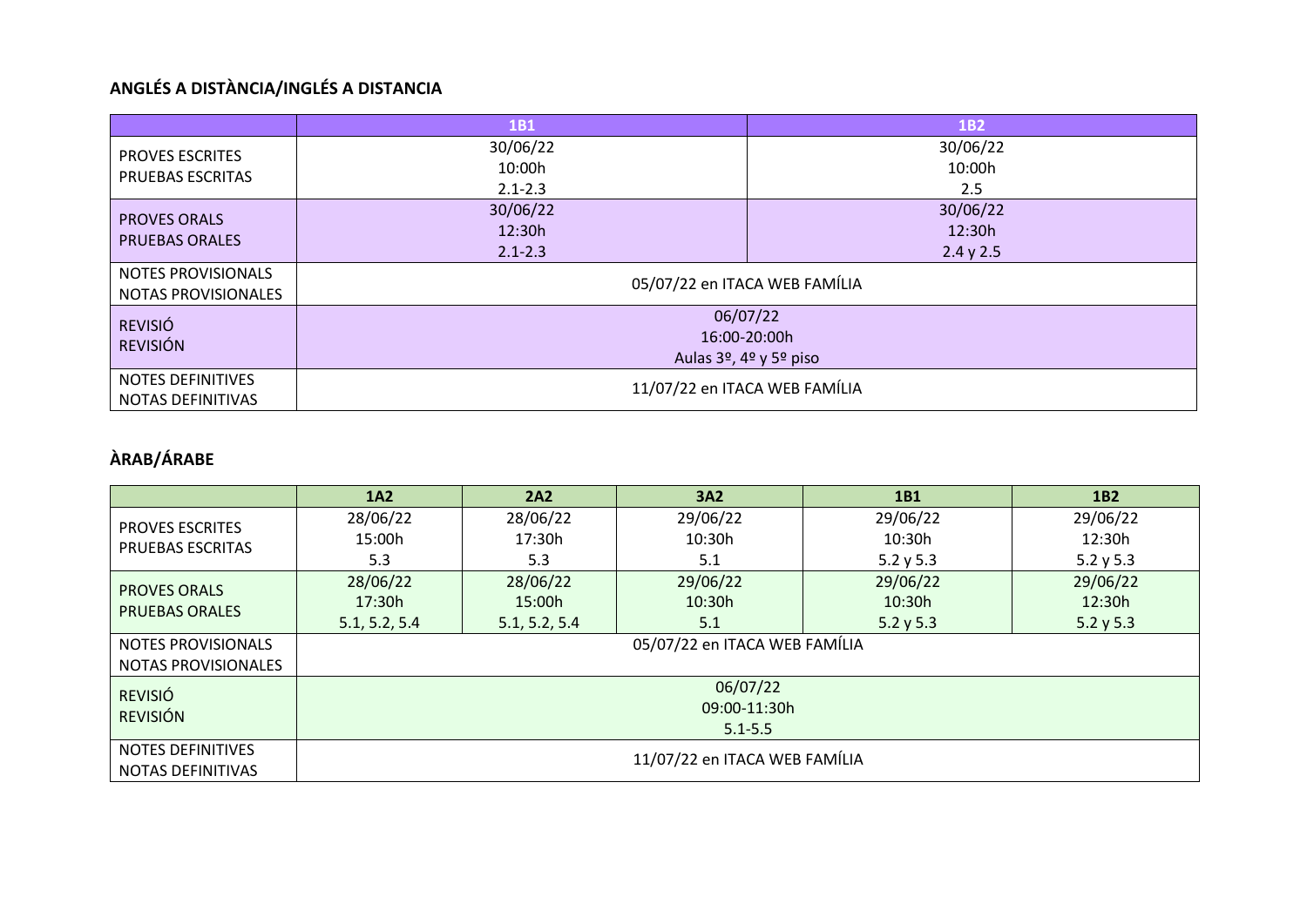# **ANGLÉS A DISTÀNCIA/INGLÉS A DISTANCIA**

|                                                      | 1 <sub>B1</sub>                                                                         | <b>1B2</b>                      |  |  |
|------------------------------------------------------|-----------------------------------------------------------------------------------------|---------------------------------|--|--|
| <b>PROVES ESCRITES</b><br>PRUEBAS ESCRITAS           | 30/06/22<br>10:00h<br>$2.1 - 2.3$                                                       | 30/06/22<br>10:00h<br>2.5       |  |  |
| <b>PROVES ORALS</b><br><b>PRUEBAS ORALES</b>         | 30/06/22<br>12:30h<br>$2.1 - 2.3$                                                       | 30/06/22<br>12:30h<br>2.4 y 2.5 |  |  |
| <b>NOTES PROVISIONALS</b><br>NOTAS PROVISIONALES     | 05/07/22 en ITACA WEB FAMÍLIA                                                           |                                 |  |  |
| <b>REVISIÓ</b><br><b>REVISIÓN</b>                    | 06/07/22<br>16:00-20:00h<br>Aulas 3 <sup>o</sup> , 4 <sup>o</sup> y 5 <sup>o</sup> piso |                                 |  |  |
| <b>NOTES DEFINITIVES</b><br><b>NOTAS DEFINITIVAS</b> | 11/07/22 en ITACA WEB FAMÍLIA                                                           |                                 |  |  |

## **ÀRAB/ÁRABE**

|                            | <b>1A2</b>                    | 2A2           | 3A2                           | 1 <sub>B1</sub> | 1B <sub>2</sub> |
|----------------------------|-------------------------------|---------------|-------------------------------|-----------------|-----------------|
| <b>PROVES ESCRITES</b>     | 28/06/22                      | 28/06/22      | 29/06/22                      | 29/06/22        | 29/06/22        |
| <b>PRUEBAS ESCRITAS</b>    | 15:00h                        | 17:30h        | 10:30h                        | 10:30h          | 12:30h          |
|                            | 5.3                           | 5.3           | 5.1                           | 5.2 y 5.3       | 5.2 y 5.3       |
| <b>PROVES ORALS</b>        | 28/06/22                      | 28/06/22      | 29/06/22                      | 29/06/22        | 29/06/22        |
| <b>PRUEBAS ORALES</b>      | 17:30h                        | 15:00h        | 10:30h                        | 10:30h          | 12:30h          |
|                            | 5.1, 5.2, 5.4                 | 5.1, 5.2, 5.4 | 5.1                           | 5.2 y 5.3       | 5.2 y 5.3       |
| <b>NOTES PROVISIONALS</b>  |                               |               | 05/07/22 en ITACA WEB FAMÍLIA |                 |                 |
| <b>NOTAS PROVISIONALES</b> |                               |               |                               |                 |                 |
| <b>REVISIÓ</b>             |                               |               | 06/07/22                      |                 |                 |
| <b>REVISIÓN</b>            |                               |               | 09:00-11:30h                  |                 |                 |
|                            | $5.1 - 5.5$                   |               |                               |                 |                 |
| <b>NOTES DEFINITIVES</b>   | 11/07/22 en ITACA WEB FAMÍLIA |               |                               |                 |                 |
| NOTAS DEFINITIVAS          |                               |               |                               |                 |                 |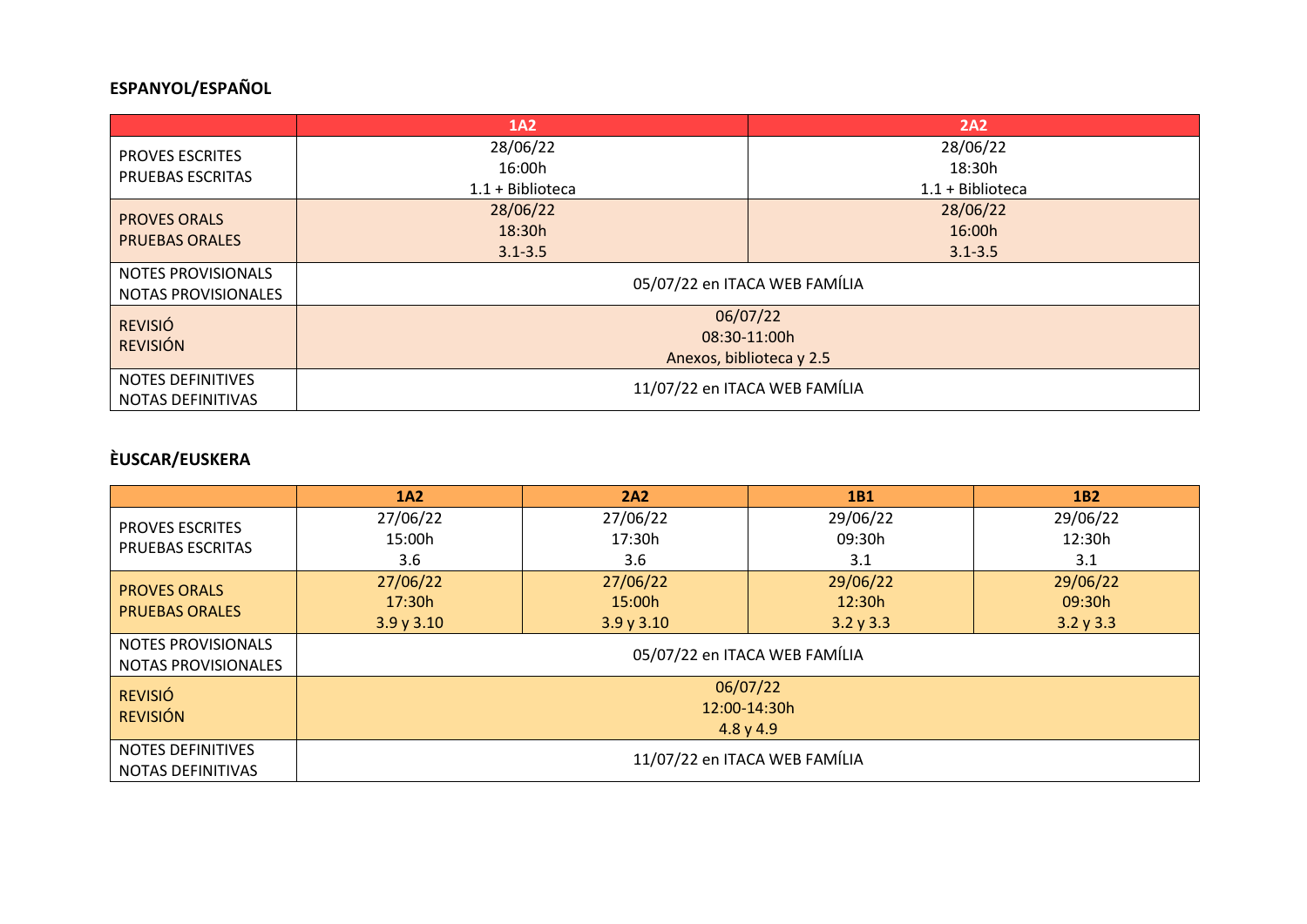## **ESPANYOL/ESPAÑOL**

|                          | 1A2                                      | <b>2A2</b>                    |  |  |  |  |
|--------------------------|------------------------------------------|-------------------------------|--|--|--|--|
| <b>PROVES ESCRITES</b>   | 28/06/22                                 | 28/06/22                      |  |  |  |  |
| <b>PRUEBAS ESCRITAS</b>  | 16:00h                                   | 18:30h                        |  |  |  |  |
|                          | $1.1 + Biblioteca$                       | $1.1 + Biblioteca$            |  |  |  |  |
| <b>PROVES ORALS</b>      | 28/06/22                                 | 28/06/22                      |  |  |  |  |
| <b>PRUEBAS ORALES</b>    | 18:30h                                   | 16:00h                        |  |  |  |  |
|                          | $3.1 - 3.5$                              | $3.1 - 3.5$                   |  |  |  |  |
| NOTES PROVISIONALS       |                                          | 05/07/22 en ITACA WEB FAMÍLIA |  |  |  |  |
| NOTAS PROVISIONALES      |                                          |                               |  |  |  |  |
| <b>REVISIÓ</b>           |                                          | 06/07/22                      |  |  |  |  |
| <b>REVISIÓN</b>          | 08:30-11:00h<br>Anexos, biblioteca y 2.5 |                               |  |  |  |  |
|                          |                                          |                               |  |  |  |  |
| <b>NOTES DEFINITIVES</b> |                                          |                               |  |  |  |  |
| NOTAS DEFINITIVAS        |                                          | 11/07/22 en ITACA WEB FAMÍLIA |  |  |  |  |

## **ÈUSCAR/EUSKERA**

|                                                  | 1A2                           | 2A2      | <b>1B1</b>   | <b>1B2</b> |  |  |
|--------------------------------------------------|-------------------------------|----------|--------------|------------|--|--|
| <b>PROVES ESCRITES</b>                           | 27/06/22                      | 27/06/22 | 29/06/22     | 29/06/22   |  |  |
| PRUEBAS ESCRITAS                                 | 15:00h                        | 17:30h   | 09:30h       | 12:30h     |  |  |
|                                                  | 3.6                           | 3.6      | 3.1          | 3.1        |  |  |
| <b>PROVES ORALS</b>                              | 27/06/22                      | 27/06/22 | 29/06/22     | 29/06/22   |  |  |
| <b>PRUEBAS ORALES</b>                            | 17:30h                        | 15:00h   | 12:30h       | 09:30h     |  |  |
|                                                  | 3.9y3.10                      | 3.9y3.10 | 3.2 y 3.3    | 3.2 y 3.3  |  |  |
| NOTES PROVISIONALS<br><b>NOTAS PROVISIONALES</b> | 05/07/22 en ITACA WEB FAMÍLIA |          |              |            |  |  |
|                                                  |                               |          |              |            |  |  |
| <b>REVISIÓ</b>                                   |                               |          | 06/07/22     |            |  |  |
| <b>REVISIÓN</b>                                  |                               |          | 12:00-14:30h |            |  |  |
|                                                  | 4.8 y 4.9                     |          |              |            |  |  |
| <b>NOTES DEFINITIVES</b><br>NOTAS DEFINITIVAS    | 11/07/22 en ITACA WEB FAMÍLIA |          |              |            |  |  |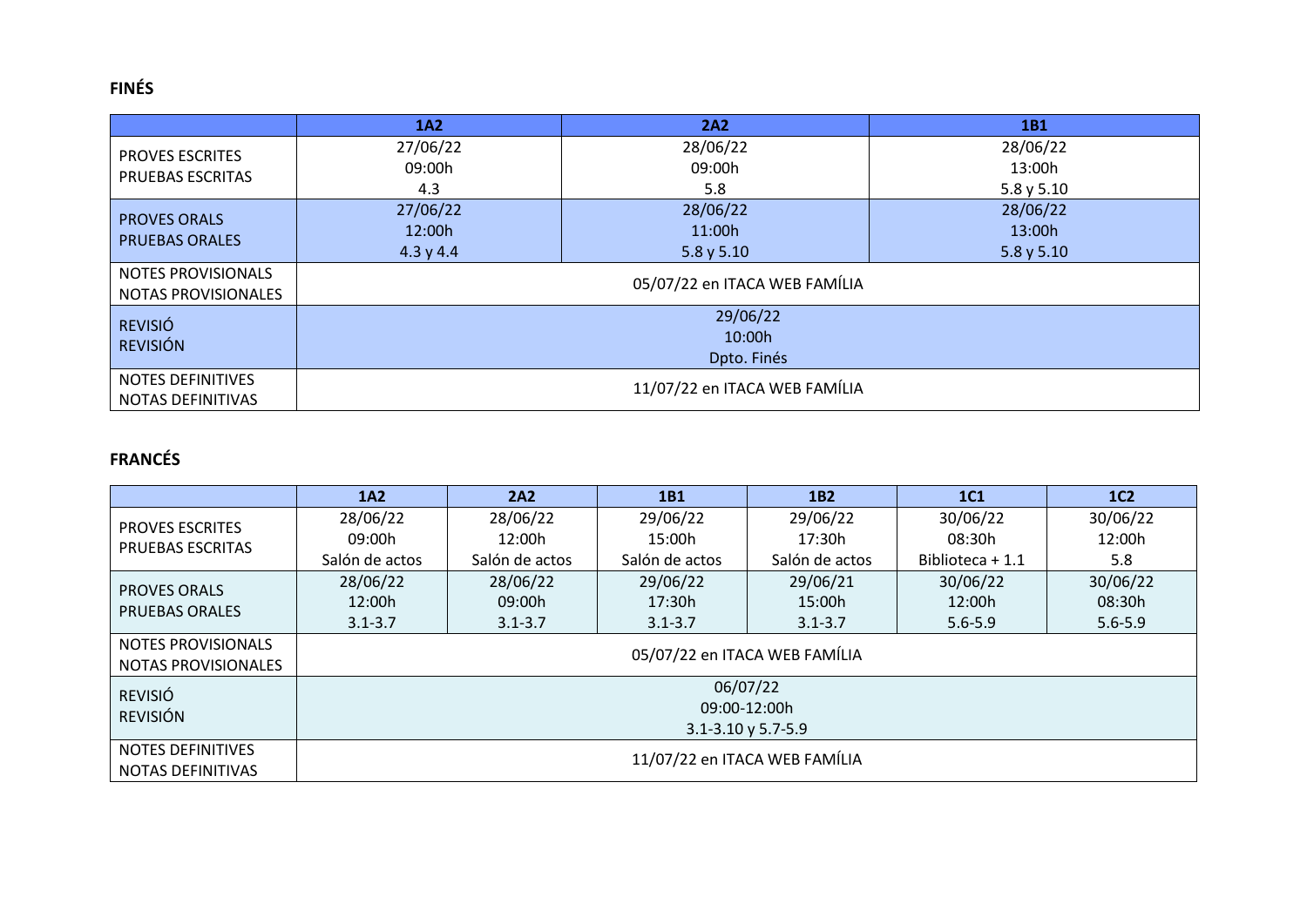## **FINÉS**

|                           | 1A2                   | 2A2                           | 1B1      |  |  |  |
|---------------------------|-----------------------|-------------------------------|----------|--|--|--|
| <b>PROVES ESCRITES</b>    | 27/06/22              | 28/06/22                      | 28/06/22 |  |  |  |
| PRUEBAS ESCRITAS          | 09:00h                | 09:00h                        | 13:00h   |  |  |  |
|                           | 4.3                   | 5.8                           | 5.8y5.10 |  |  |  |
| <b>PROVES ORALS</b>       | 27/06/22              | 28/06/22                      | 28/06/22 |  |  |  |
| <b>PRUEBAS ORALES</b>     | 12:00h                | 11:00h                        | 13:00h   |  |  |  |
|                           | 4.3 y 4.4             | 5.8 y 5.10                    | 5.8y5.10 |  |  |  |
| <b>NOTES PROVISIONALS</b> |                       | 05/07/22 en ITACA WEB FAMÍLIA |          |  |  |  |
| NOTAS PROVISIONALES       |                       |                               |          |  |  |  |
| <b>REVISIÓ</b>            |                       | 29/06/22                      |          |  |  |  |
| <b>REVISIÓN</b>           | 10:00h<br>Dpto. Finés |                               |          |  |  |  |
|                           |                       |                               |          |  |  |  |
| <b>NOTES DEFINITIVES</b>  |                       |                               |          |  |  |  |
| NOTAS DEFINITIVAS         |                       | 11/07/22 en ITACA WEB FAMÍLIA |          |  |  |  |

## **FRANCÉS**

|                           | 1A2                           | 2A2            | 1 <sub>B1</sub> | 1 <sub>B2</sub>               | <b>1C1</b>       | 1C <sub>2</sub> |
|---------------------------|-------------------------------|----------------|-----------------|-------------------------------|------------------|-----------------|
| <b>PROVES ESCRITES</b>    | 28/06/22                      | 28/06/22       | 29/06/22        | 29/06/22                      | 30/06/22         | 30/06/22        |
| <b>PRUEBAS ESCRITAS</b>   | 09:00h                        | 12:00h         | 15:00h          | 17:30h                        | 08:30h           | 12:00h          |
|                           | Salón de actos                | Salón de actos | Salón de actos  | Salón de actos                | Biblioteca + 1.1 | 5.8             |
| <b>PROVES ORALS</b>       | 28/06/22                      | 28/06/22       | 29/06/22        | 29/06/21                      | 30/06/22         | 30/06/22        |
| <b>PRUEBAS ORALES</b>     | 12:00h                        | 09:00h         | 17:30h          | 15:00h                        | 12:00h           | 08:30h          |
|                           | $3.1 - 3.7$                   | $3.1 - 3.7$    | $3.1 - 3.7$     | $3.1 - 3.7$                   | $5.6 - 5.9$      | $5.6 - 5.9$     |
| <b>NOTES PROVISIONALS</b> |                               |                |                 | 05/07/22 en ITACA WEB FAMÍLIA |                  |                 |
| NOTAS PROVISIONALES       |                               |                |                 |                               |                  |                 |
| <b>REVISIÓ</b>            |                               |                | 06/07/22        |                               |                  |                 |
| <b>REVISIÓN</b>           |                               |                | 09:00-12:00h    |                               |                  |                 |
|                           | $3.1 - 3.10$ y 5.7-5.9        |                |                 |                               |                  |                 |
| <b>NOTES DEFINITIVES</b>  | 11/07/22 en ITACA WEB FAMÍLIA |                |                 |                               |                  |                 |
| NOTAS DEFINITIVAS         |                               |                |                 |                               |                  |                 |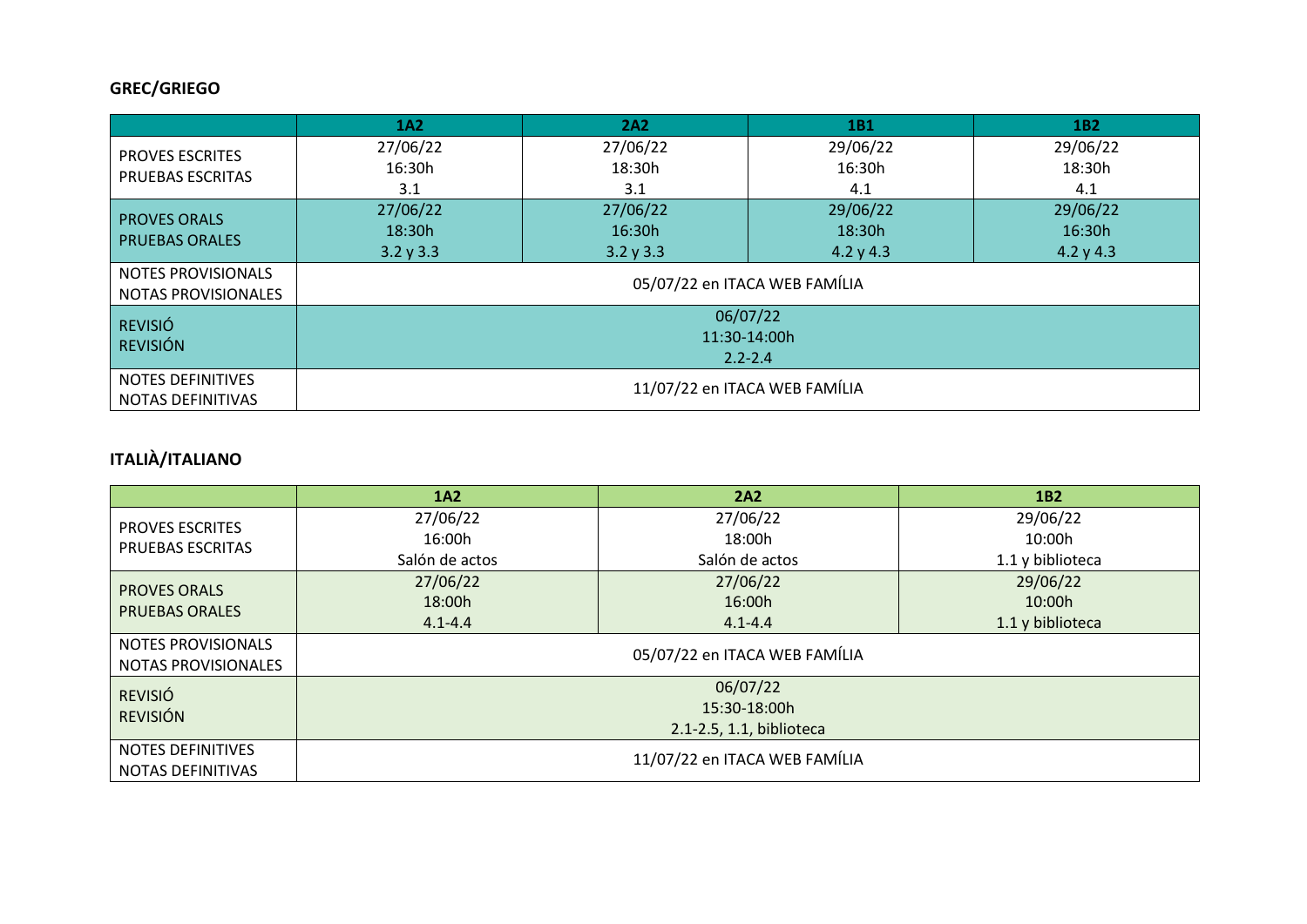## **GREC/GRIEGO**

|                            | 1A2                         | 2A2                           | 1B1                           | 1 <sub>B2</sub> |  |  |  |
|----------------------------|-----------------------------|-------------------------------|-------------------------------|-----------------|--|--|--|
| <b>PROVES ESCRITES</b>     | 27/06/22                    | 27/06/22                      | 29/06/22                      | 29/06/22        |  |  |  |
| PRUEBAS ESCRITAS           | 16:30h                      | 18:30h                        | 16:30h                        | 18:30h          |  |  |  |
|                            | 3.1                         | 3.1                           | 4.1                           | 4.1             |  |  |  |
| <b>PROVES ORALS</b>        | 27/06/22                    | 27/06/22                      | 29/06/22                      | 29/06/22        |  |  |  |
| <b>PRUEBAS ORALES</b>      | 18:30h                      | 16:30h                        | 18:30h                        | 16:30h          |  |  |  |
|                            | 3.2 y 3.3                   | 3.2 y 3.3                     | 4.2 y 4.3                     | 4.2 y 4.3       |  |  |  |
| NOTES PROVISIONALS         |                             |                               |                               |                 |  |  |  |
| <b>NOTAS PROVISIONALES</b> |                             | 05/07/22 en ITACA WEB FAMÍLIA |                               |                 |  |  |  |
| <b>REVISIÓ</b>             |                             | 06/07/22                      |                               |                 |  |  |  |
| <b>REVISIÓN</b>            | 11:30-14:00h<br>$2.2 - 2.4$ |                               |                               |                 |  |  |  |
|                            |                             |                               |                               |                 |  |  |  |
| NOTES DEFINITIVES          |                             |                               | 11/07/22 en ITACA WEB FAMÍLIA |                 |  |  |  |
| NOTAS DEFINITIVAS          |                             |                               |                               |                 |  |  |  |

# **ITALIÀ/ITALIANO**

|                                                         | 1A2                           | 2A2            | 1 <sub>B2</sub>  |  |  |  |
|---------------------------------------------------------|-------------------------------|----------------|------------------|--|--|--|
| <b>PROVES ESCRITES</b>                                  | 27/06/22                      | 27/06/22       | 29/06/22         |  |  |  |
| <b>PRUEBAS ESCRITAS</b>                                 | 16:00h                        | 18:00h         | 10:00h           |  |  |  |
|                                                         | Salón de actos                | Salón de actos | 1.1 y biblioteca |  |  |  |
| <b>PROVES ORALS</b>                                     | 27/06/22                      | 27/06/22       | 29/06/22         |  |  |  |
| <b>PRUEBAS ORALES</b>                                   | 18:00h                        | 16:00h         | 10:00h           |  |  |  |
|                                                         | $4.1 - 4.4$                   | $4.1 - 4.4$    | 1.1 y biblioteca |  |  |  |
| <b>NOTES PROVISIONALS</b><br><b>NOTAS PROVISIONALES</b> | 05/07/22 en ITACA WEB FAMÍLIA |                |                  |  |  |  |
| <b>REVISIÓ</b>                                          |                               | 06/07/22       |                  |  |  |  |
| <b>REVISIÓN</b>                                         |                               | 15:30-18:00h   |                  |  |  |  |
|                                                         | 2.1-2.5, 1.1, biblioteca      |                |                  |  |  |  |
| <b>NOTES DEFINITIVES</b><br>NOTAS DEFINITIVAS           | 11/07/22 en ITACA WEB FAMÍLIA |                |                  |  |  |  |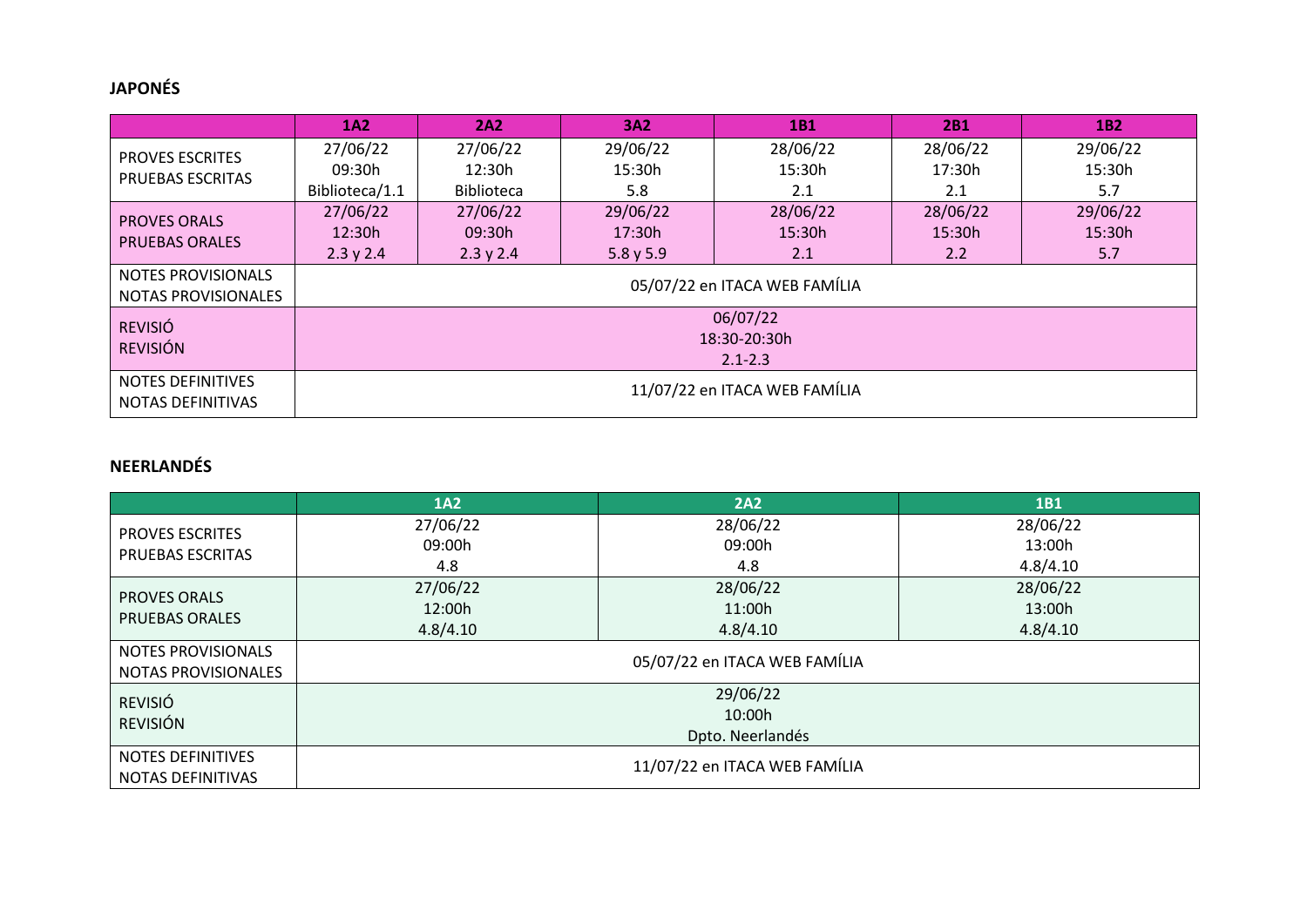#### **JAPONÉS**

|                                                      | <b>1A2</b>                    | 2A2               | <b>3A2</b> | 1B1                           | 2B1      | 1 <sub>B2</sub> |
|------------------------------------------------------|-------------------------------|-------------------|------------|-------------------------------|----------|-----------------|
| <b>PROVES ESCRITES</b>                               | 27/06/22                      | 27/06/22          | 29/06/22   | 28/06/22                      | 28/06/22 | 29/06/22        |
| <b>PRUEBAS ESCRITAS</b>                              | 09:30h                        | 12:30h            | 15:30h     | 15:30h                        | 17:30h   | 15:30h          |
|                                                      | Biblioteca/1.1                | <b>Biblioteca</b> | 5.8        | 2.1                           | 2.1      | 5.7             |
| <b>PROVES ORALS</b>                                  | 27/06/22                      | 27/06/22          | 29/06/22   | 28/06/22                      | 28/06/22 | 29/06/22        |
| <b>PRUEBAS ORALES</b>                                | 12:30h                        | 09:30h            | 17:30h     | 15:30h                        | 15:30h   | 15:30h          |
|                                                      | 2.3 y 2.4                     | 2.3 y 2.4         | 5.8 y 5.9  | 2.1                           | 2.2      | 5.7             |
| NOTES PROVISIONALS                                   |                               |                   |            | 05/07/22 en ITACA WEB FAMÍLIA |          |                 |
| NOTAS PROVISIONALES                                  |                               |                   |            |                               |          |                 |
| <b>REVISIÓ</b>                                       |                               |                   |            | 06/07/22                      |          |                 |
| <b>REVISIÓN</b>                                      |                               |                   |            | 18:30-20:30h                  |          |                 |
|                                                      | $2.1 - 2.3$                   |                   |            |                               |          |                 |
| <b>NOTES DEFINITIVES</b><br><b>NOTAS DEFINITIVAS</b> | 11/07/22 en ITACA WEB FAMÍLIA |                   |            |                               |          |                 |

#### **NEERLANDÉS**

|                            | <b>1A2</b>                    | 2A2                           | <b>1B1</b> |  |  |  |
|----------------------------|-------------------------------|-------------------------------|------------|--|--|--|
| <b>PROVES ESCRITES</b>     | 27/06/22                      | 28/06/22                      | 28/06/22   |  |  |  |
| PRUEBAS ESCRITAS           | 09:00h                        | 09:00h                        | 13:00h     |  |  |  |
|                            | 4.8                           | 4.8                           | 4.8/4.10   |  |  |  |
| <b>PROVES ORALS</b>        | 27/06/22                      | 28/06/22                      | 28/06/22   |  |  |  |
| <b>PRUEBAS ORALES</b>      | 12:00h                        | 11:00h                        | 13:00h     |  |  |  |
|                            | 4.8/4.10                      | 4.8/4.10                      | 4.8/4.10   |  |  |  |
| NOTES PROVISIONALS         |                               | 05/07/22 en ITACA WEB FAMÍLIA |            |  |  |  |
| <b>NOTAS PROVISIONALES</b> |                               |                               |            |  |  |  |
| <b>REVISIÓ</b>             |                               | 29/06/22                      |            |  |  |  |
| <b>REVISIÓN</b>            |                               | 10:00h                        |            |  |  |  |
|                            |                               |                               |            |  |  |  |
| <b>NOTES DEFINITIVES</b>   | 11/07/22 en ITACA WEB FAMÍLIA |                               |            |  |  |  |
| NOTAS DEFINITIVAS          |                               |                               |            |  |  |  |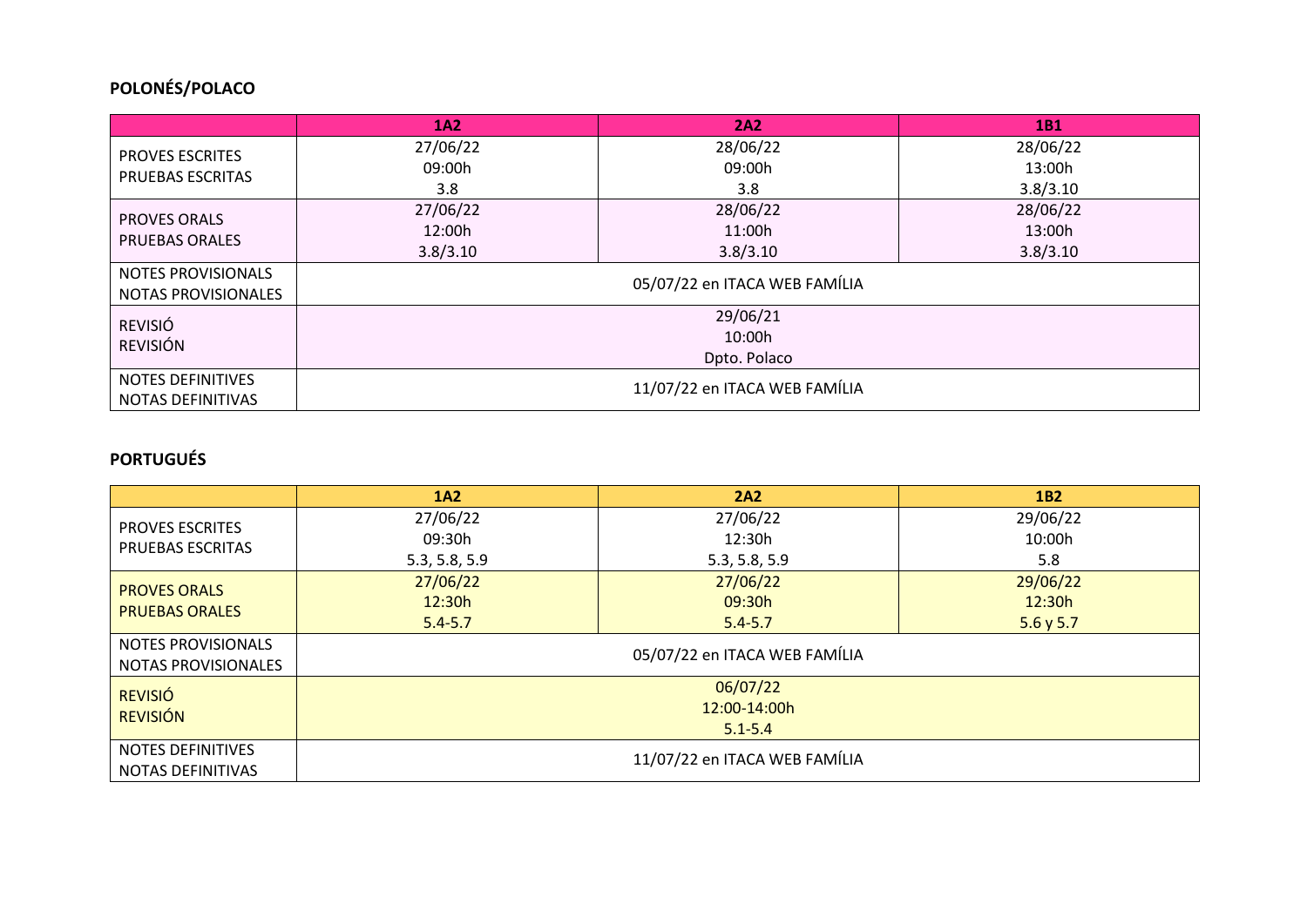## **POLONÉS/POLACO**

|                                            | 1A2                           | 2A2      | 1B1      |  |  |
|--------------------------------------------|-------------------------------|----------|----------|--|--|
| <b>PROVES ESCRITES</b><br>PRUEBAS ESCRITAS | 27/06/22                      | 28/06/22 | 28/06/22 |  |  |
|                                            | 09:00h                        | 09:00h   |          |  |  |
|                                            | 3.8                           | 3.8      | 3.8/3.10 |  |  |
| <b>PROVES ORALS</b>                        | 27/06/22                      | 28/06/22 | 28/06/22 |  |  |
| <b>PRUEBAS ORALES</b>                      | 12:00h                        | 11:00h   | 13:00h   |  |  |
|                                            | 3.8/3.10                      | 3.8/3.10 | 3.8/3.10 |  |  |
| <b>NOTES PROVISIONALS</b>                  | 05/07/22 en ITACA WEB FAMÍLIA |          |          |  |  |
| NOTAS PROVISIONALES                        |                               |          |          |  |  |
| <b>REVISIÓ</b>                             | 29/06/21                      |          |          |  |  |
| <b>REVISIÓN</b>                            | 10:00h                        |          |          |  |  |
|                                            | Dpto. Polaco                  |          |          |  |  |
| <b>NOTES DEFINITIVES</b>                   | 11/07/22 en ITACA WEB FAMÍLIA |          |          |  |  |
| <b>NOTAS DEFINITIVAS</b>                   |                               |          |          |  |  |

#### **PORTUGUÉS**

|                                                      | 1A2                           | 2A2           | <b>1B2</b> |
|------------------------------------------------------|-------------------------------|---------------|------------|
| <b>PROVES ESCRITES</b><br><b>PRUEBAS ESCRITAS</b>    | 27/06/22                      | 27/06/22      | 29/06/22   |
|                                                      | 09:30h                        | 12:30h        |            |
|                                                      | 5.3, 5.8, 5.9                 | 5.3, 5.8, 5.9 | 5.8        |
| <b>PROVES ORALS</b><br><b>PRUEBAS ORALES</b>         | 27/06/22                      | 27/06/22      | 29/06/22   |
|                                                      | 12:30h                        | 09:30h        | 12:30h     |
|                                                      | $5.4 - 5.7$                   | $5.4 - 5.7$   | 5.6 y 5.7  |
| NOTES PROVISIONALS<br>NOTAS PROVISIONALES            | 05/07/22 en ITACA WEB FAMÍLIA |               |            |
| <b>REVISIÓ</b>                                       | 06/07/22                      |               |            |
| <b>REVISIÓN</b>                                      | 12:00-14:00h                  |               |            |
|                                                      | $5.1 - 5.4$                   |               |            |
| <b>NOTES DEFINITIVES</b><br><b>NOTAS DEFINITIVAS</b> | 11/07/22 en ITACA WEB FAMÍLIA |               |            |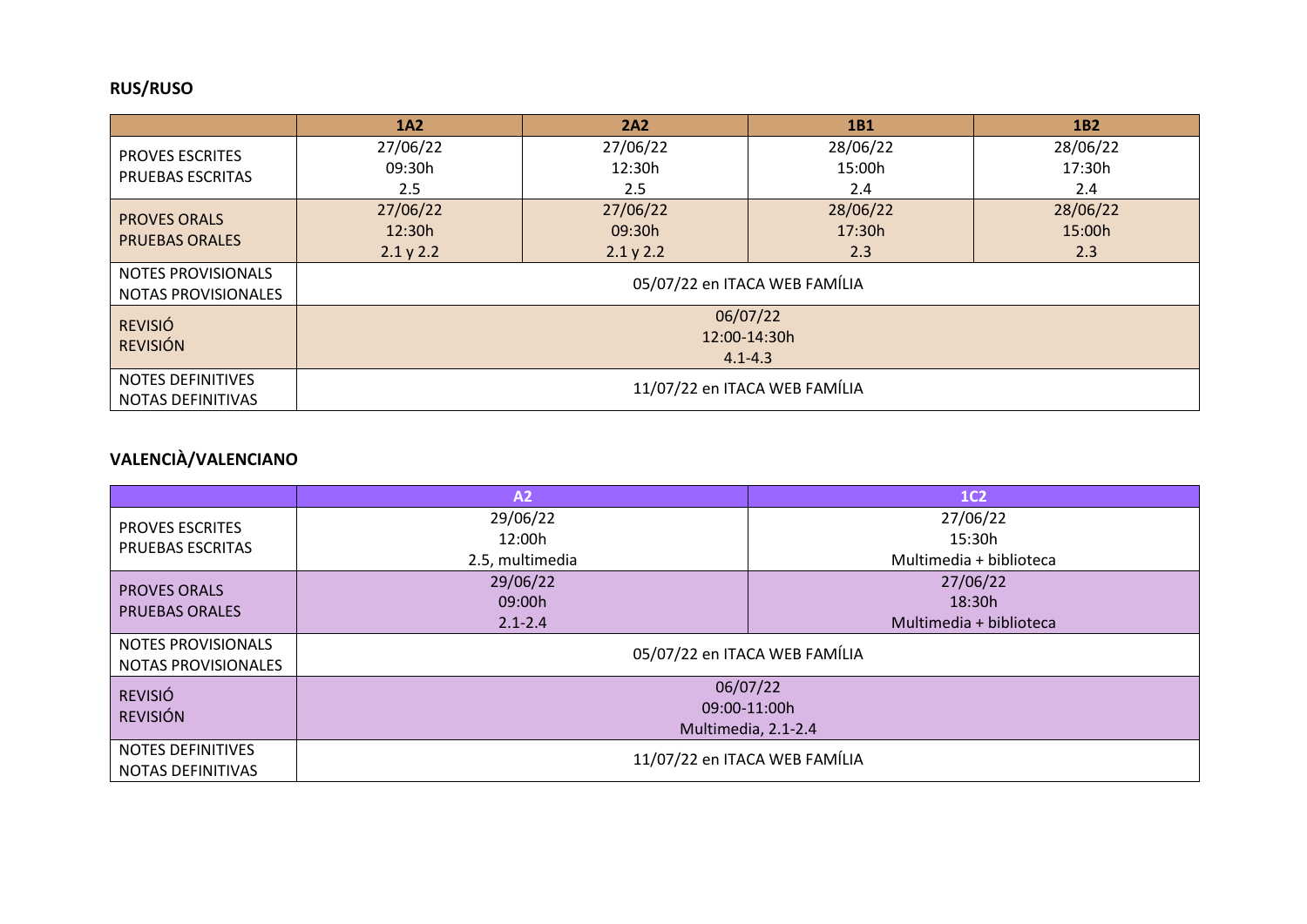## **RUS/RUSO**

|                                               | 1A2                                     | 2A2              | 1B1      | 1 <sub>B2</sub> |
|-----------------------------------------------|-----------------------------------------|------------------|----------|-----------------|
| <b>PROVES ESCRITES</b><br>PRUEBAS ESCRITAS    | 27/06/22                                | 27/06/22         | 28/06/22 | 28/06/22        |
|                                               | 09:30h                                  | 12:30h<br>15:00h |          | 17:30h          |
|                                               | 2.5                                     | $2.5\,$          | 2.4      | 2.4             |
| <b>PROVES ORALS</b><br><b>PRUEBAS ORALES</b>  | 27/06/22                                | 27/06/22         | 28/06/22 | 28/06/22        |
|                                               | 12:30h                                  | 09:30h           | 17:30h   | 15:00h          |
|                                               | 2.1 y 2.2                               | 2.1 y 2.2        | 2.3      | 2.3             |
| NOTES PROVISIONALS<br>NOTAS PROVISIONALES     | 05/07/22 en ITACA WEB FAMÍLIA           |                  |          |                 |
| <b>REVISIÓ</b><br><b>REVISIÓN</b>             | 06/07/22<br>12:00-14:30h<br>$4.1 - 4.3$ |                  |          |                 |
| <b>NOTES DEFINITIVES</b><br>NOTAS DEFINITIVAS | 11/07/22 en ITACA WEB FAMÍLIA           |                  |          |                 |

# **VALENCIÀ/VALENCIANO**

|                                                  | A2                            | 1C <sub>2</sub>         |  |
|--------------------------------------------------|-------------------------------|-------------------------|--|
| <b>PROVES ESCRITES</b><br>PRUEBAS ESCRITAS       | 29/06/22                      | 27/06/22                |  |
|                                                  | 12:00h                        | 15:30h                  |  |
|                                                  | 2.5, multimedia               | Multimedia + biblioteca |  |
| <b>PROVES ORALS</b><br><b>PRUEBAS ORALES</b>     | 29/06/22                      | 27/06/22                |  |
|                                                  | 09:00h                        | 18:30h                  |  |
|                                                  | $2.1 - 2.4$                   | Multimedia + biblioteca |  |
| NOTES PROVISIONALS<br><b>NOTAS PROVISIONALES</b> | 05/07/22 en ITACA WEB FAMÍLIA |                         |  |
| <b>REVISIÓ</b>                                   | 06/07/22                      |                         |  |
| <b>REVISIÓN</b>                                  | 09:00-11:00h                  |                         |  |
|                                                  | Multimedia, 2.1-2.4           |                         |  |
| <b>NOTES DEFINITIVES</b><br>NOTAS DEFINITIVAS    | 11/07/22 en ITACA WEB FAMÍLIA |                         |  |